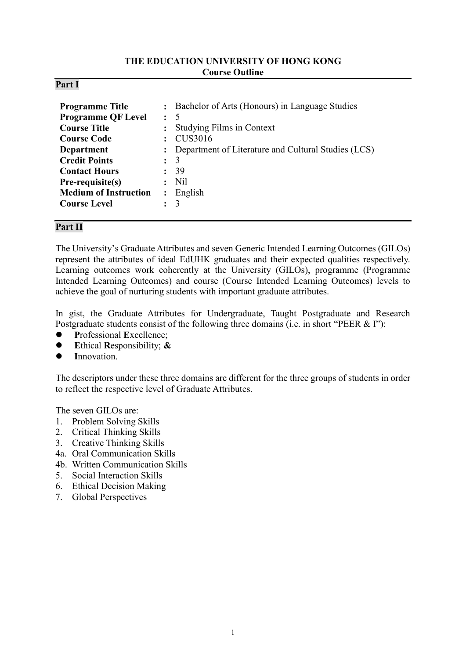### **THE EDUCATION UNIVERSITY OF HONG KONG Course Outline**

### **Part I**

| <b>Programme Title</b><br><b>Programme QF Level</b><br><b>Course Title</b><br><b>Course Code</b><br><b>Department</b><br><b>Credit Points</b><br><b>Contact Hours</b><br>Pre-requisite(s)<br><b>Medium of Instruction</b> | $\ddot{\cdot}$<br>$\ddot{\phantom{a}}$<br>$\ddot{\phantom{a}}$<br>$\ddot{\phantom{a}}$<br>$\ddot{\cdot}$<br>$\ddot{\cdot}$ | : Bachelor of Arts (Honours) in Language Studies<br>-5<br>Studying Films in Context<br>CUS3016<br>Department of Literature and Cultural Studies (LCS)<br>3<br>39<br>N <sub>il</sub><br>English |
|---------------------------------------------------------------------------------------------------------------------------------------------------------------------------------------------------------------------------|----------------------------------------------------------------------------------------------------------------------------|------------------------------------------------------------------------------------------------------------------------------------------------------------------------------------------------|
| <b>Course Level</b>                                                                                                                                                                                                       |                                                                                                                            | 3                                                                                                                                                                                              |

## **Part II**

The University's Graduate Attributes and seven Generic Intended Learning Outcomes (GILOs) represent the attributes of ideal EdUHK graduates and their expected qualities respectively. Learning outcomes work coherently at the University (GILOs), programme (Programme Intended Learning Outcomes) and course (Course Intended Learning Outcomes) levels to achieve the goal of nurturing students with important graduate attributes.

In gist, the Graduate Attributes for Undergraduate, Taught Postgraduate and Research Postgraduate students consist of the following three domains (i.e. in short "PEER & I"):

- **P**rofessional **E**xcellence;
- **E**thical **R**esponsibility; **&**
- **I**nnovation.

The descriptors under these three domains are different for the three groups of students in order to reflect the respective level of Graduate Attributes.

The seven GILOs are:

- 1. Problem Solving Skills
- 2. Critical Thinking Skills
- 3. Creative Thinking Skills
- 4a. Oral Communication Skills
- 4b. Written Communication Skills
- 5. Social Interaction Skills
- 6. Ethical Decision Making
- 7. Global Perspectives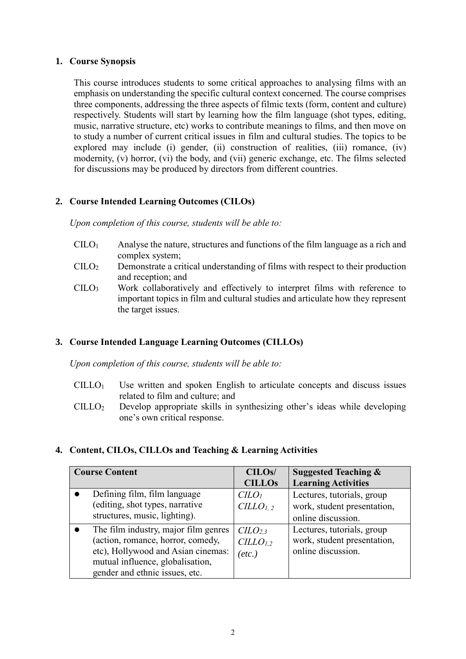## **1. Course Synopsis**

This course introduces students to some critical approaches to analysing films with an emphasis on understanding the specific cultural context concerned. The course comprises three components, addressing the three aspects of filmic texts (form, content and culture) respectively. Students will start by learning how the film language (shot types, editing, music, narrative structure, etc) works to contribute meanings to films, and then move on to study a number of current critical issues in film and cultural studies. The topics to be explored may include (i) gender, (ii) construction of realities, (iii) romance, (iv) modernity, (v) horror, (vi) the body, and (vii) generic exchange, etc. The films selected for discussions may be produced by directors from different countries.

# **2. Course Intended Learning Outcomes (CILOs)**

*Upon completion of this course, students will be able to:*

- $CILO<sub>1</sub>$  Analyse the nature, structures and functions of the film language as a rich and complex system;
- CILO<sup>2</sup> Demonstrate a critical understanding of films with respect to their production and reception; and
- CILO<sup>3</sup> Work collaboratively and effectively to interpret films with reference to important topics in film and cultural studies and articulate how they represent the target issues.

## **3. Course Intended Language Learning Outcomes (CILLOs)**

*Upon completion of this course, students will be able to:*

- $CILLO<sub>1</sub>$  Use written and spoken English to articulate concepts and discuss issues related to film and culture; and
- CILLO<sup>2</sup> Develop appropriate skills in synthesizing other's ideas while developing one's own critical response.

## **4. Content, CILOs, CILLOs and Teaching & Learning Activities**

| <b>Course Content</b>                                                                                                                                                                 | CILO <sub>s</sub> /<br><b>CILLOs</b>                                       | <b>Suggested Teaching &amp;</b><br><b>Learning Activities</b>                   |
|---------------------------------------------------------------------------------------------------------------------------------------------------------------------------------------|----------------------------------------------------------------------------|---------------------------------------------------------------------------------|
| Defining film, film language<br>(editing, shot types, narrative<br>structures, music, lighting).                                                                                      | C <sub>LO<sub>l</sub></sub><br>CILLO <sub>1, 2</sub>                       | Lectures, tutorials, group<br>work, student presentation,<br>online discussion. |
| The film industry, major film genres<br>(action, romance, horror, comedy,<br>etc), Hollywood and Asian cinemas:<br>mutual influence, globalisation,<br>gender and ethnic issues, etc. | C <sub>L</sub> O <sub>2,3</sub><br>CILLO <sub>1.2</sub><br>$(\text{etc.})$ | Lectures, tutorials, group<br>work, student presentation,<br>online discussion. |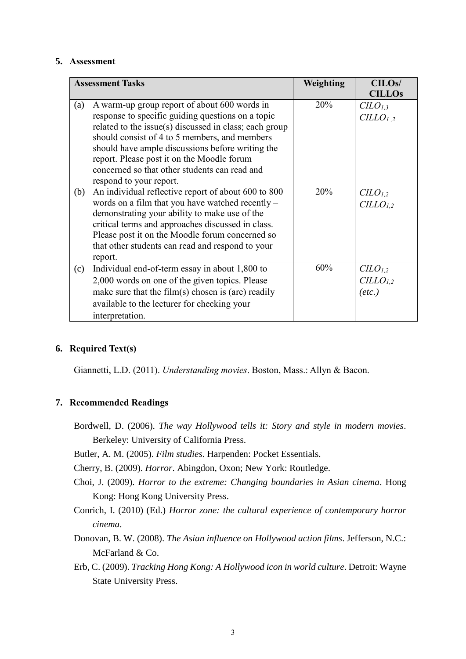#### **5. Assessment**

| <b>Assessment Tasks</b>                       |                                                        | Weighting | CILO <sub>s</sub> /  |
|-----------------------------------------------|--------------------------------------------------------|-----------|----------------------|
|                                               |                                                        |           | <b>CILLOs</b>        |
| (a)                                           | A warm-up group report of about 600 words in           | 20%       | $CLO_{1,3}$          |
|                                               | response to specific guiding questions on a topic      |           | CILLO <sub>1.2</sub> |
|                                               | related to the issue(s) discussed in class; each group |           |                      |
| should consist of 4 to 5 members, and members |                                                        |           |                      |
|                                               | should have ample discussions before writing the       |           |                      |
|                                               | report. Please post it on the Moodle forum             |           |                      |
|                                               | concerned so that other students can read and          |           |                      |
|                                               | respond to your report.                                |           |                      |
| (b)                                           | An individual reflective report of about 600 to 800    | 20%       | $CLO_{1,2}$          |
|                                               | words on a film that you have watched recently $-$     |           | $CILLO_{1,2}$        |
|                                               | demonstrating your ability to make use of the          |           |                      |
|                                               | critical terms and approaches discussed in class.      |           |                      |
|                                               | Please post it on the Moodle forum concerned so        |           |                      |
|                                               | that other students can read and respond to your       |           |                      |
|                                               | report.                                                |           |                      |
| (c)                                           | Individual end-of-term essay in about 1,800 to         | 60%       | CLO <sub>1,2</sub>   |
|                                               | 2,000 words on one of the given topics. Please         |           | CILLO <sub>1,2</sub> |
|                                               | make sure that the $film(s)$ chosen is (are) readily   |           | $(\textit{etc.})$    |
|                                               | available to the lecturer for checking your            |           |                      |
|                                               | interpretation.                                        |           |                      |

## **6. Required Text(s)**

Giannetti, L.D. (2011). *Understanding movies*. Boston, Mass.: Allyn & Bacon.

### **7. Recommended Readings**

- Bordwell, D. (2006). *The way Hollywood tells it: Story and style in modern movies*. Berkeley: University of California Press.
- Butler, A. M. (2005). *Film studies*. Harpenden: Pocket Essentials.
- Cherry, B. (2009). *Horror*. Abingdon, Oxon; New York: Routledge.
- Choi, J. (2009). *Horror to the extreme: Changing boundaries in Asian cinema*. Hong Kong: Hong Kong University Press.
- Conrich, I. (2010) (Ed.) *Horror zone: the cultural experience of contemporary horror cinema*.
- Donovan, B. W. (2008). *The Asian influence on Hollywood action films*. Jefferson, N.C.: McFarland & Co.
- Erb, C. (2009). *Tracking Hong Kong: A Hollywood icon in world culture*. Detroit: Wayne State University Press.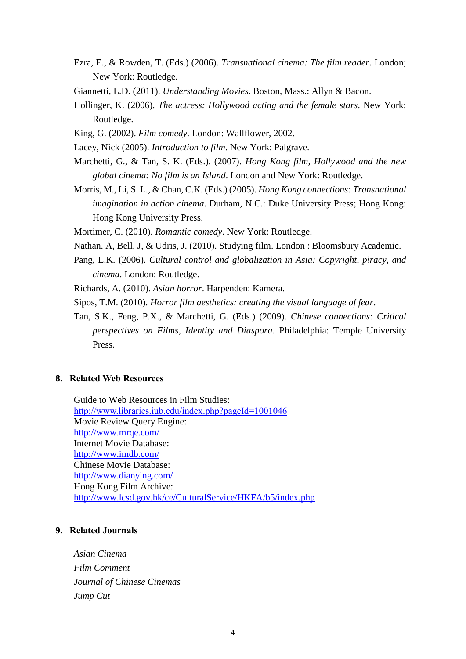- Ezra, E., & Rowden, T. (Eds.) (2006). *Transnational cinema: The film reader*. London; New York: Routledge.
- Giannetti, L.D. (2011). *Understanding Movies*. Boston, Mass.: Allyn & Bacon.
- Hollinger, K. (2006). *The actress: Hollywood acting and the female stars*. New York: Routledge.
- King, G. (2002). *Film comedy*. London: Wallflower, 2002.
- Lacey, Nick (2005). *Introduction to film*. New York: Palgrave.
- Marchetti, G., & Tan, S. K. (Eds.). (2007). *Hong Kong film, Hollywood and the new global cinema: No film is an Island*. London and New York: Routledge.
- Morris, M., Li, S. L., & Chan, C.K. (Eds.) (2005). *Hong Kong connections: Transnational imagination in action cinema*. Durham, N.C.: Duke University Press; Hong Kong: Hong Kong University Press.
- Mortimer, C. (2010). *Romantic comedy*. New York: Routledge.
- Nathan. A, Bell, J, & Udris, J. (2010). Studying film. London : Bloomsbury Academic.
- Pang, L.K. (2006). *Cultural control and globalization in Asia: Copyright, piracy, and cinema*. London: Routledge.
- Richards, A. (2010). *Asian horror*. Harpenden: Kamera.
- Sipos, T.M. (2010). *Horror film aesthetics: creating the visual language of fear*.
- Tan, S.K., Feng, P.X., & Marchetti, G. (Eds.) (2009). *Chinese connections: Critical perspectives on Films, Identity and Diaspora*. Philadelphia: Temple University Press.

### **8. Related Web Resources**

Guide to Web Resources in Film Studies: <http://www.libraries.iub.edu/index.php?pageId=1001046> Movie Review Query Engine: <http://www.mrqe.com/> Internet Movie Database: <http://www.imdb.com/> Chinese Movie Database: <http://www.dianying.com/> Hong Kong Film Archive: <http://www.lcsd.gov.hk/ce/CulturalService/HKFA/b5/index.php>

## **9. Related Journals**

*Asian Cinema Film Comment Journal of Chinese Cinemas Jump Cut*